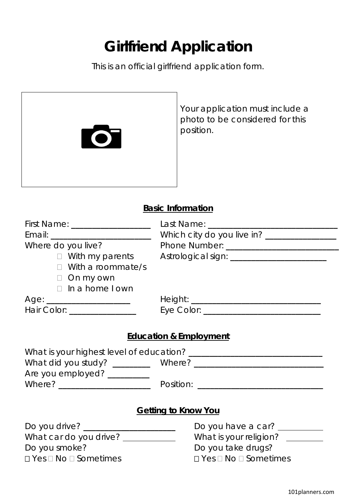## **Girlfriend Application**

This is an official girlfriend application form.